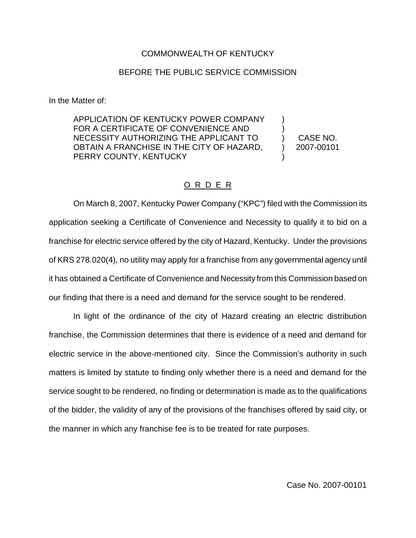## COMMONWEALTH OF KENTUCKY

## BEFORE THE PUBLIC SERVICE COMMISSION

In the Matter of:

APPLICATION OF KENTUCKY POWER COMPANY FOR A CERTIFICATE OF CONVENIENCE AND NECESSITY AUTHORIZING THE APPLICANT TO OBTAIN A FRANCHISE IN THE CITY OF HAZARD, PERRY COUNTY, KENTUCKY ) ) )

) CASE NO. ) 2007-00101

## O R D E R

On March 8, 2007, Kentucky Power Company ("KPC") filed with the Commission its application seeking a Certificate of Convenience and Necessity to qualify it to bid on a franchise for electric service offered by the city of Hazard, Kentucky. Under the provisions of KRS 278.020(4), no utility may apply for a franchise from any governmental agency until it has obtained a Certificate of Convenience and Necessity from this Commission based on our finding that there is a need and demand for the service sought to be rendered.

In light of the ordinance of the city of Hazard creating an electric distribution franchise, the Commission determines that there is evidence of a need and demand for electric service in the above-mentioned city. Since the Commission's authority in such matters is limited by statute to finding only whether there is a need and demand for the service sought to be rendered, no finding or determination is made as to the qualifications of the bidder, the validity of any of the provisions of the franchises offered by said city, or the manner in which any franchise fee is to be treated for rate purposes.